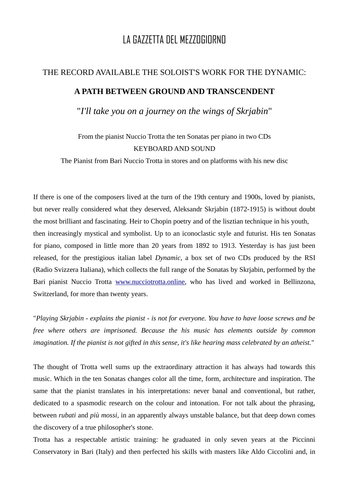## LA GAZZETTA DEL MEZZOGIORNO

## THE RECORD AVAILABLE THE SOLOIST'S WORK FOR THE DYNAMIC: **A PATH BETWEEN GROUND AND TRANSCENDENT** "*I'll take you on a journey on the wings of Skrjabin*"

## From the pianist Nuccio Trotta the ten Sonatas per piano in two CDs KEYBOARD AND SOUND

The Pianist from Bari Nuccio Trotta in stores and on platforms with his new disc

If there is one of the composers lived at the turn of the 19th century and 1900s, loved by pianists, but never really considered what they deserved, Aleksandr Skrjabin (1872-1915) is without doubt the most brilliant and fascinating. Heir to Chopin poetry and of the lisztian technique in his youth, then increasingly mystical and symbolist. Up to an iconoclastic style and futurist. His ten Sonatas for piano, composed in little more than 20 years from 1892 to 1913. Yesterday is has just been released, for the prestigious italian label *Dynamic*, a box set of two CDs produced by the RSI (Radio Svizzera Italiana), which collects the full range of the Sonatas by Skrjabin, performed by the Bari pianist Nuccio Trotta [www.nucciotrotta.online](http://www.nucciotrotta.online/), who has lived and worked in Bellinzona, Switzerland, for more than twenty years.

"*Playing Skrjabin - explains the pianist - is not for everyone. You have to have loose screws and be free where others are imprisoned. Because the his music has elements outside by common imagination. If the pianist is not gifted in this sense, it's like hearing mass celebrated by an atheist.*"

The thought of Trotta well sums up the extraordinary attraction it has always had towards this music. Which in the ten Sonatas changes color all the time, form, architecture and inspiration. The same that the pianist translates in his interpretations: never banal and conventional, but rather, dedicated to a spasmodic research on the colour and intonation. For not talk about the phrasing, between *rubati* and *più mossi*, in an apparently always unstable balance, but that deep down comes the discovery of a true philosopher's stone.

Trotta has a respectable artistic training: he graduated in only seven years at the Piccinni Conservatory in Bari (Italy) and then perfected his skills with masters like Aldo Ciccolini and, in